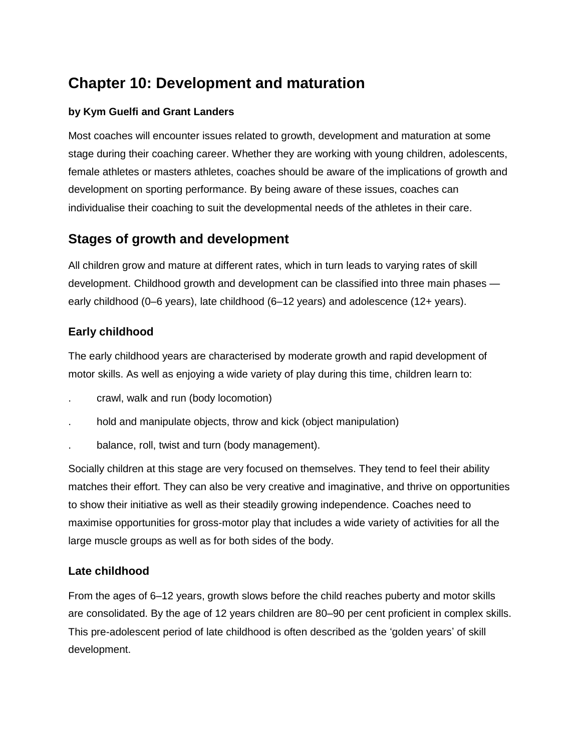# **Chapter 10: Development and maturation**

## **by Kym Guelfi and Grant Landers**

Most coaches will encounter issues related to growth, development and maturation at some stage during their coaching career. Whether they are working with young children, adolescents, female athletes or masters athletes, coaches should be aware of the implications of growth and development on sporting performance. By being aware of these issues, coaches can individualise their coaching to suit the developmental needs of the athletes in their care.

## **Stages of growth and development**

All children grow and mature at different rates, which in turn leads to varying rates of skill development. Childhood growth and development can be classified into three main phases early childhood (0–6 years), late childhood (6–12 years) and adolescence (12+ years).

## **Early childhood**

The early childhood years are characterised by moderate growth and rapid development of motor skills. As well as enjoying a wide variety of play during this time, children learn to:

- . crawl, walk and run (body locomotion)
- . hold and manipulate objects, throw and kick (object manipulation)
- . balance, roll, twist and turn (body management).

Socially children at this stage are very focused on themselves. They tend to feel their ability matches their effort. They can also be very creative and imaginative, and thrive on opportunities to show their initiative as well as their steadily growing independence. Coaches need to maximise opportunities for gross-motor play that includes a wide variety of activities for all the large muscle groups as well as for both sides of the body.

## **Late childhood**

From the ages of 6–12 years, growth slows before the child reaches puberty and motor skills are consolidated. By the age of 12 years children are 80–90 per cent proficient in complex skills. This pre-adolescent period of late childhood is often described as the 'golden years' of skill development.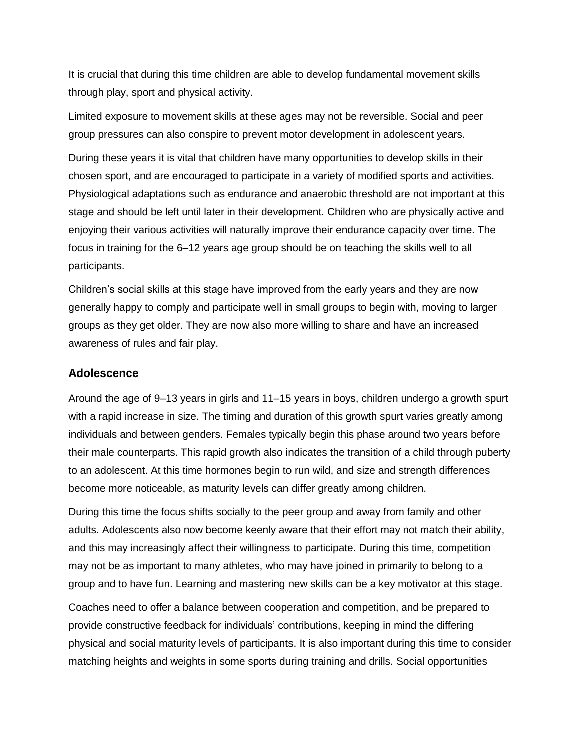It is crucial that during this time children are able to develop fundamental movement skills through play, sport and physical activity.

Limited exposure to movement skills at these ages may not be reversible. Social and peer group pressures can also conspire to prevent motor development in adolescent years.

During these years it is vital that children have many opportunities to develop skills in their chosen sport, and are encouraged to participate in a variety of modified sports and activities. Physiological adaptations such as endurance and anaerobic threshold are not important at this stage and should be left until later in their development. Children who are physically active and enjoying their various activities will naturally improve their endurance capacity over time. The focus in training for the 6–12 years age group should be on teaching the skills well to all participants.

Children's social skills at this stage have improved from the early years and they are now generally happy to comply and participate well in small groups to begin with, moving to larger groups as they get older. They are now also more willing to share and have an increased awareness of rules and fair play.

#### **Adolescence**

Around the age of 9–13 years in girls and 11–15 years in boys, children undergo a growth spurt with a rapid increase in size. The timing and duration of this growth spurt varies greatly among individuals and between genders. Females typically begin this phase around two years before their male counterparts. This rapid growth also indicates the transition of a child through puberty to an adolescent. At this time hormones begin to run wild, and size and strength differences become more noticeable, as maturity levels can differ greatly among children.

During this time the focus shifts socially to the peer group and away from family and other adults. Adolescents also now become keenly aware that their effort may not match their ability, and this may increasingly affect their willingness to participate. During this time, competition may not be as important to many athletes, who may have joined in primarily to belong to a group and to have fun. Learning and mastering new skills can be a key motivator at this stage.

Coaches need to offer a balance between cooperation and competition, and be prepared to provide constructive feedback for individuals' contributions, keeping in mind the differing physical and social maturity levels of participants. It is also important during this time to consider matching heights and weights in some sports during training and drills. Social opportunities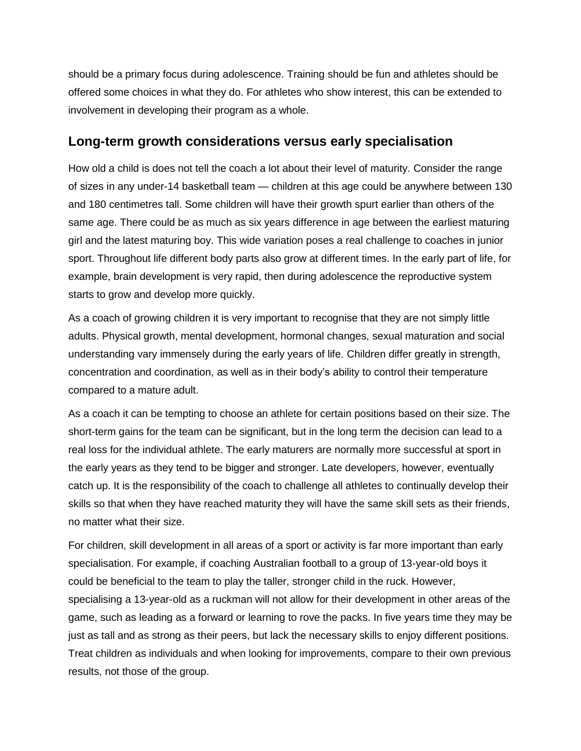should be a primary focus during adolescence. Training should be fun and athletes should be offered some choices in what they do. For athletes who show interest, this can be extended to involvement in developing their program as a whole.

## **Long-term growth considerations versus early specialisation**

How old a child is does not tell the coach a lot about their level of maturity. Consider the range of sizes in any under-14 basketball team — children at this age could be anywhere between 130 and 180 centimetres tall. Some children will have their growth spurt earlier than others of the same age. There could be as much as six years difference in age between the earliest maturing girl and the latest maturing boy. This wide variation poses a real challenge to coaches in junior sport. Throughout life different body parts also grow at different times. In the early part of life, for example, brain development is very rapid, then during adolescence the reproductive system starts to grow and develop more quickly.

As a coach of growing children it is very important to recognise that they are not simply little adults. Physical growth, mental development, hormonal changes, sexual maturation and social understanding vary immensely during the early years of life. Children differ greatly in strength, concentration and coordination, as well as in their body's ability to control their temperature compared to a mature adult.

As a coach it can be tempting to choose an athlete for certain positions based on their size. The short-term gains for the team can be significant, but in the long term the decision can lead to a real loss for the individual athlete. The early maturers are normally more successful at sport in the early years as they tend to be bigger and stronger. Late developers, however, eventually catch up. It is the responsibility of the coach to challenge all athletes to continually develop their skills so that when they have reached maturity they will have the same skill sets as their friends, no matter what their size.

For children, skill development in all areas of a sport or activity is far more important than early specialisation. For example, if coaching Australian football to a group of 13-year-old boys it could be beneficial to the team to play the taller, stronger child in the ruck. However, specialising a 13-year-old as a ruckman will not allow for their development in other areas of the game, such as leading as a forward or learning to rove the packs. In five years time they may be just as tall and as strong as their peers, but lack the necessary skills to enjoy different positions. Treat children as individuals and when looking for improvements, compare to their own previous results, not those of the group.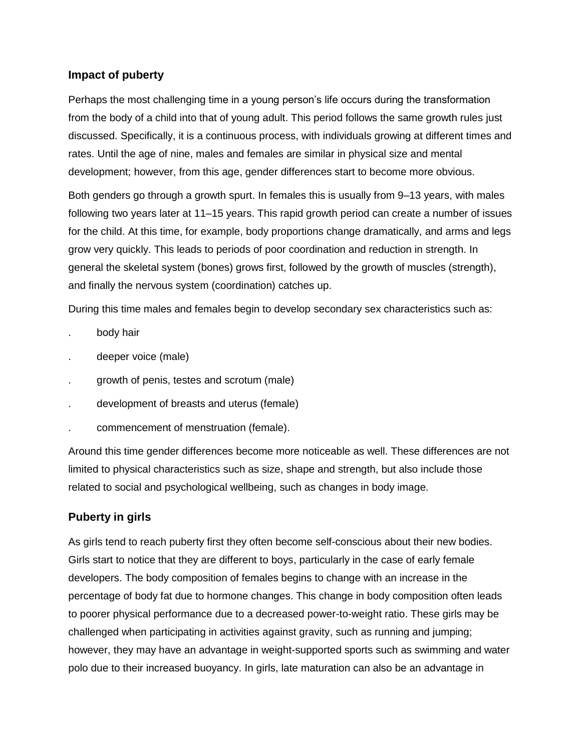## **Impact of puberty**

Perhaps the most challenging time in a young person's life occurs during the transformation from the body of a child into that of young adult. This period follows the same growth rules just discussed. Specifically, it is a continuous process, with individuals growing at different times and rates. Until the age of nine, males and females are similar in physical size and mental development; however, from this age, gender differences start to become more obvious.

Both genders go through a growth spurt. In females this is usually from 9–13 years, with males following two years later at 11–15 years. This rapid growth period can create a number of issues for the child. At this time, for example, body proportions change dramatically, and arms and legs grow very quickly. This leads to periods of poor coordination and reduction in strength. In general the skeletal system (bones) grows first, followed by the growth of muscles (strength), and finally the nervous system (coordination) catches up.

During this time males and females begin to develop secondary sex characteristics such as:

- . body hair
- . deeper voice (male)
- . growth of penis, testes and scrotum (male)
- . development of breasts and uterus (female)
- . commencement of menstruation (female).

Around this time gender differences become more noticeable as well. These differences are not limited to physical characteristics such as size, shape and strength, but also include those related to social and psychological wellbeing, such as changes in body image.

## **Puberty in girls**

As girls tend to reach puberty first they often become self-conscious about their new bodies. Girls start to notice that they are different to boys, particularly in the case of early female developers. The body composition of females begins to change with an increase in the percentage of body fat due to hormone changes. This change in body composition often leads to poorer physical performance due to a decreased power-to-weight ratio. These girls may be challenged when participating in activities against gravity, such as running and jumping; however, they may have an advantage in weight-supported sports such as swimming and water polo due to their increased buoyancy. In girls, late maturation can also be an advantage in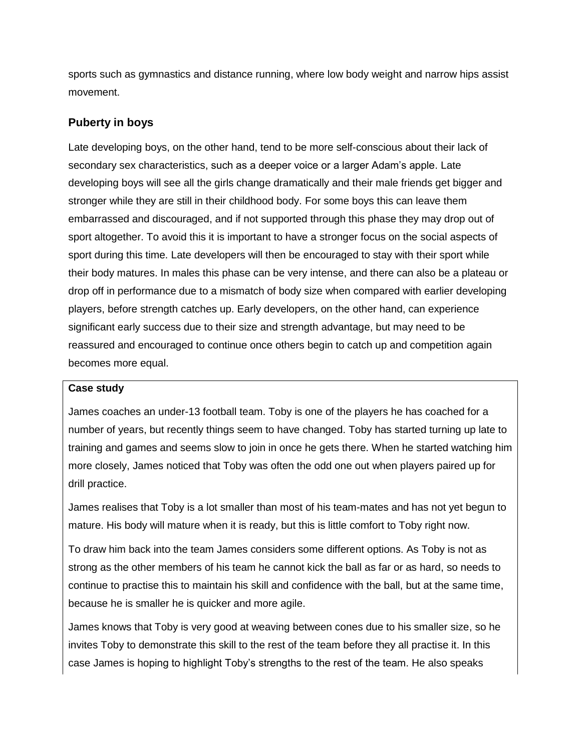sports such as gymnastics and distance running, where low body weight and narrow hips assist movement.

#### **Puberty in boys**

Late developing boys, on the other hand, tend to be more self-conscious about their lack of secondary sex characteristics, such as a deeper voice or a larger Adam's apple. Late developing boys will see all the girls change dramatically and their male friends get bigger and stronger while they are still in their childhood body. For some boys this can leave them embarrassed and discouraged, and if not supported through this phase they may drop out of sport altogether. To avoid this it is important to have a stronger focus on the social aspects of sport during this time. Late developers will then be encouraged to stay with their sport while their body matures. In males this phase can be very intense, and there can also be a plateau or drop off in performance due to a mismatch of body size when compared with earlier developing players, before strength catches up. Early developers, on the other hand, can experience significant early success due to their size and strength advantage, but may need to be reassured and encouraged to continue once others begin to catch up and competition again becomes more equal.

#### **Case study**

James coaches an under-13 football team. Toby is one of the players he has coached for a number of years, but recently things seem to have changed. Toby has started turning up late to training and games and seems slow to join in once he gets there. When he started watching him more closely, James noticed that Toby was often the odd one out when players paired up for drill practice.

James realises that Toby is a lot smaller than most of his team-mates and has not yet begun to mature. His body will mature when it is ready, but this is little comfort to Toby right now.

To draw him back into the team James considers some different options. As Toby is not as strong as the other members of his team he cannot kick the ball as far or as hard, so needs to continue to practise this to maintain his skill and confidence with the ball, but at the same time, because he is smaller he is quicker and more agile.

James knows that Toby is very good at weaving between cones due to his smaller size, so he invites Toby to demonstrate this skill to the rest of the team before they all practise it. In this case James is hoping to highlight Toby's strengths to the rest of the team. He also speaks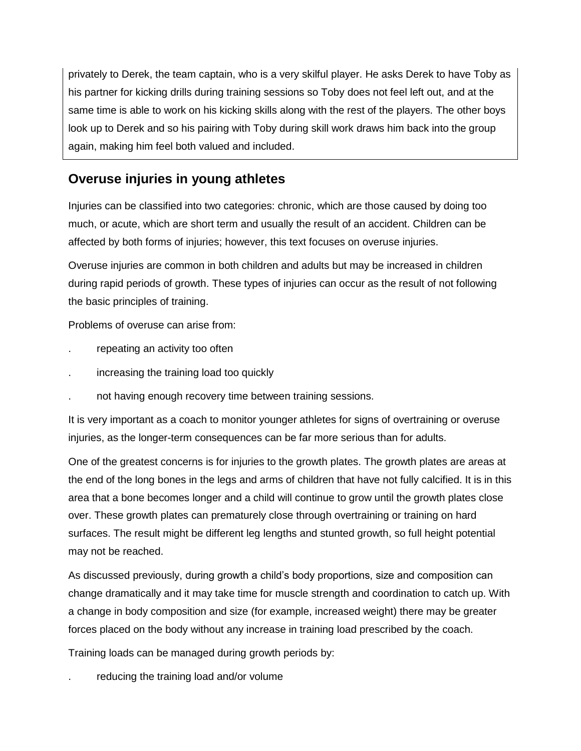privately to Derek, the team captain, who is a very skilful player. He asks Derek to have Toby as his partner for kicking drills during training sessions so Toby does not feel left out, and at the same time is able to work on his kicking skills along with the rest of the players. The other boys look up to Derek and so his pairing with Toby during skill work draws him back into the group again, making him feel both valued and included.

## **Overuse injuries in young athletes**

Injuries can be classified into two categories: chronic, which are those caused by doing too much, or acute, which are short term and usually the result of an accident. Children can be affected by both forms of injuries; however, this text focuses on overuse injuries.

Overuse injuries are common in both children and adults but may be increased in children during rapid periods of growth. These types of injuries can occur as the result of not following the basic principles of training.

Problems of overuse can arise from:

- . repeating an activity too often
- . increasing the training load too quickly
- . not having enough recovery time between training sessions.

It is very important as a coach to monitor younger athletes for signs of overtraining or overuse injuries, as the longer-term consequences can be far more serious than for adults.

One of the greatest concerns is for injuries to the growth plates. The growth plates are areas at the end of the long bones in the legs and arms of children that have not fully calcified. It is in this area that a bone becomes longer and a child will continue to grow until the growth plates close over. These growth plates can prematurely close through overtraining or training on hard surfaces. The result might be different leg lengths and stunted growth, so full height potential may not be reached.

As discussed previously, during growth a child's body proportions, size and composition can change dramatically and it may take time for muscle strength and coordination to catch up. With a change in body composition and size (for example, increased weight) there may be greater forces placed on the body without any increase in training load prescribed by the coach.

Training loads can be managed during growth periods by:

reducing the training load and/or volume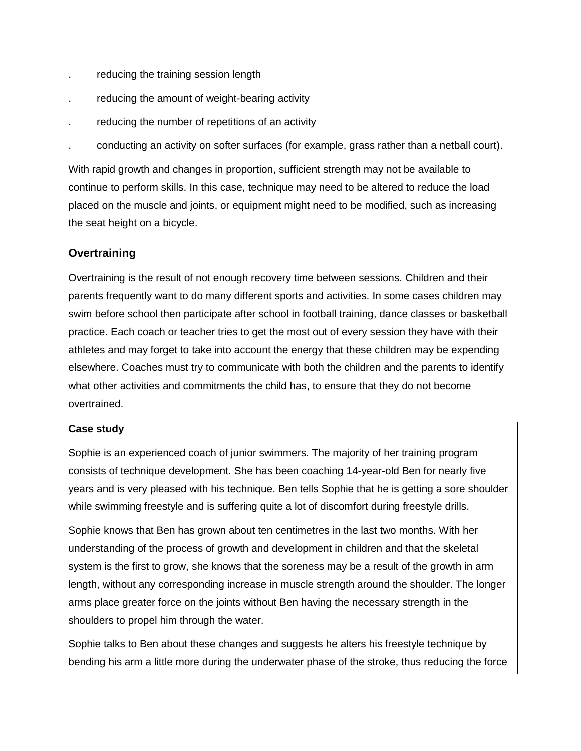- . reducing the training session length
- reducing the amount of weight-bearing activity
- . reducing the number of repetitions of an activity
- . conducting an activity on softer surfaces (for example, grass rather than a netball court).

With rapid growth and changes in proportion, sufficient strength may not be available to continue to perform skills. In this case, technique may need to be altered to reduce the load placed on the muscle and joints, or equipment might need to be modified, such as increasing the seat height on a bicycle.

## **Overtraining**

Overtraining is the result of not enough recovery time between sessions. Children and their parents frequently want to do many different sports and activities. In some cases children may swim before school then participate after school in football training, dance classes or basketball practice. Each coach or teacher tries to get the most out of every session they have with their athletes and may forget to take into account the energy that these children may be expending elsewhere. Coaches must try to communicate with both the children and the parents to identify what other activities and commitments the child has, to ensure that they do not become overtrained.

#### **Case study**

Sophie is an experienced coach of junior swimmers. The majority of her training program consists of technique development. She has been coaching 14-year-old Ben for nearly five years and is very pleased with his technique. Ben tells Sophie that he is getting a sore shoulder while swimming freestyle and is suffering quite a lot of discomfort during freestyle drills.

Sophie knows that Ben has grown about ten centimetres in the last two months. With her understanding of the process of growth and development in children and that the skeletal system is the first to grow, she knows that the soreness may be a result of the growth in arm length, without any corresponding increase in muscle strength around the shoulder. The longer arms place greater force on the joints without Ben having the necessary strength in the shoulders to propel him through the water.

Sophie talks to Ben about these changes and suggests he alters his freestyle technique by bending his arm a little more during the underwater phase of the stroke, thus reducing the force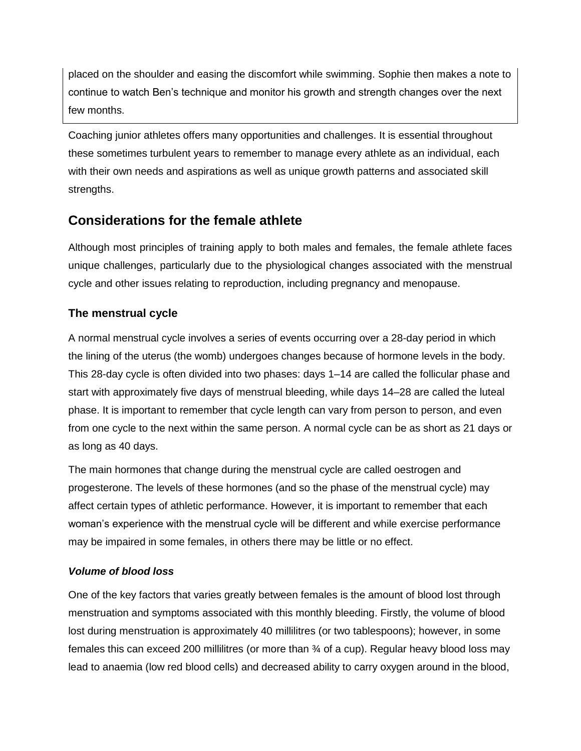placed on the shoulder and easing the discomfort while swimming. Sophie then makes a note to continue to watch Ben's technique and monitor his growth and strength changes over the next few months.

Coaching junior athletes offers many opportunities and challenges. It is essential throughout these sometimes turbulent years to remember to manage every athlete as an individual, each with their own needs and aspirations as well as unique growth patterns and associated skill strengths.

## **Considerations for the female athlete**

Although most principles of training apply to both males and females, the female athlete faces unique challenges, particularly due to the physiological changes associated with the menstrual cycle and other issues relating to reproduction, including pregnancy and menopause.

## **The menstrual cycle**

A normal menstrual cycle involves a series of events occurring over a 28-day period in which the lining of the uterus (the womb) undergoes changes because of hormone levels in the body. This 28-day cycle is often divided into two phases: days 1–14 are called the follicular phase and start with approximately five days of menstrual bleeding, while days 14–28 are called the luteal phase. It is important to remember that cycle length can vary from person to person, and even from one cycle to the next within the same person. A normal cycle can be as short as 21 days or as long as 40 days.

The main hormones that change during the menstrual cycle are called oestrogen and progesterone. The levels of these hormones (and so the phase of the menstrual cycle) may affect certain types of athletic performance. However, it is important to remember that each woman's experience with the menstrual cycle will be different and while exercise performance may be impaired in some females, in others there may be little or no effect.

## *Volume of blood loss*

One of the key factors that varies greatly between females is the amount of blood lost through menstruation and symptoms associated with this monthly bleeding. Firstly, the volume of blood lost during menstruation is approximately 40 millilitres (or two tablespoons); however, in some females this can exceed 200 millilitres (or more than ¾ of a cup). Regular heavy blood loss may lead to anaemia (low red blood cells) and decreased ability to carry oxygen around in the blood,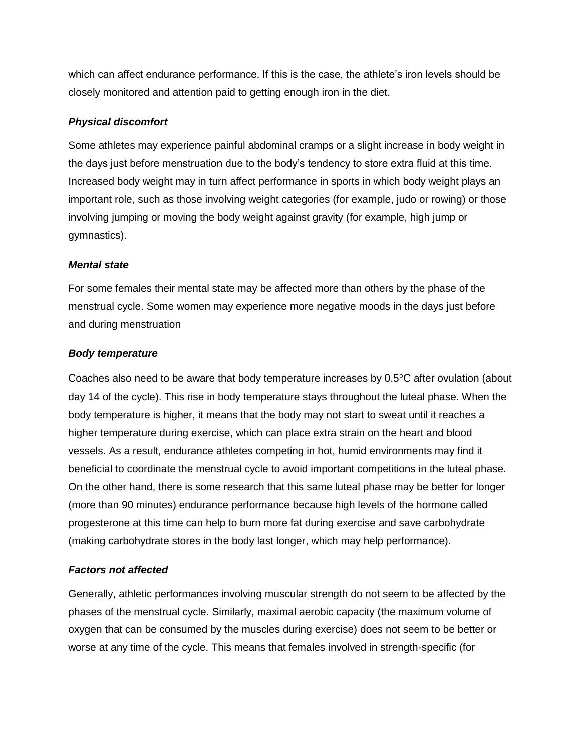which can affect endurance performance. If this is the case, the athlete's iron levels should be closely monitored and attention paid to getting enough iron in the diet.

#### *Physical discomfort*

Some athletes may experience painful abdominal cramps or a slight increase in body weight in the days just before menstruation due to the body's tendency to store extra fluid at this time. Increased body weight may in turn affect performance in sports in which body weight plays an important role, such as those involving weight categories (for example, judo or rowing) or those involving jumping or moving the body weight against gravity (for example, high jump or gymnastics).

#### *Mental state*

For some females their mental state may be affected more than others by the phase of the menstrual cycle. Some women may experience more negative moods in the days just before and during menstruation

#### *Body temperature*

Coaches also need to be aware that body temperature increases by  $0.5^{\circ}$ C after ovulation (about day 14 of the cycle). This rise in body temperature stays throughout the luteal phase. When the body temperature is higher, it means that the body may not start to sweat until it reaches a higher temperature during exercise, which can place extra strain on the heart and blood vessels. As a result, endurance athletes competing in hot, humid environments may find it beneficial to coordinate the menstrual cycle to avoid important competitions in the luteal phase. On the other hand, there is some research that this same luteal phase may be better for longer (more than 90 minutes) endurance performance because high levels of the hormone called progesterone at this time can help to burn more fat during exercise and save carbohydrate (making carbohydrate stores in the body last longer, which may help performance).

#### *Factors not affected*

Generally, athletic performances involving muscular strength do not seem to be affected by the phases of the menstrual cycle. Similarly, maximal aerobic capacity (the maximum volume of oxygen that can be consumed by the muscles during exercise) does not seem to be better or worse at any time of the cycle. This means that females involved in strength-specific (for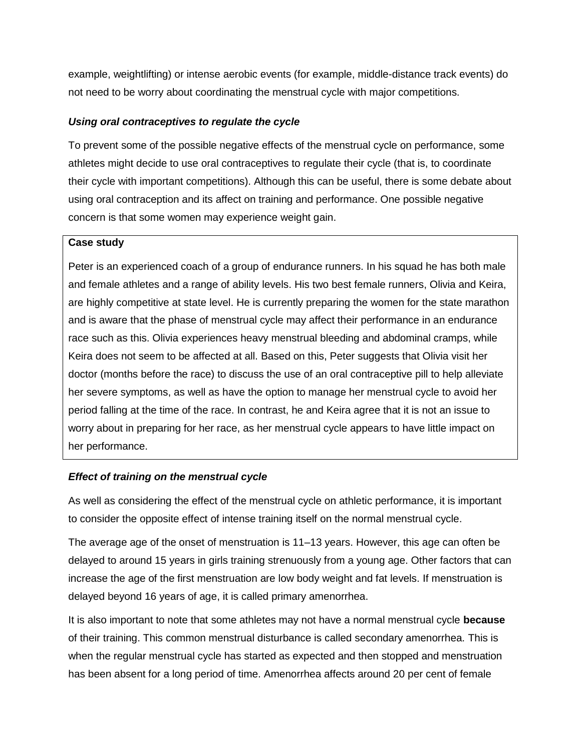example, weightlifting) or intense aerobic events (for example, middle-distance track events) do not need to be worry about coordinating the menstrual cycle with major competitions.

#### *Using oral contraceptives to regulate the cycle*

To prevent some of the possible negative effects of the menstrual cycle on performance, some athletes might decide to use oral contraceptives to regulate their cycle (that is, to coordinate their cycle with important competitions). Although this can be useful, there is some debate about using oral contraception and its affect on training and performance. One possible negative concern is that some women may experience weight gain.

#### **Case study**

Peter is an experienced coach of a group of endurance runners. In his squad he has both male and female athletes and a range of ability levels. His two best female runners, Olivia and Keira, are highly competitive at state level. He is currently preparing the women for the state marathon and is aware that the phase of menstrual cycle may affect their performance in an endurance race such as this. Olivia experiences heavy menstrual bleeding and abdominal cramps, while Keira does not seem to be affected at all. Based on this, Peter suggests that Olivia visit her doctor (months before the race) to discuss the use of an oral contraceptive pill to help alleviate her severe symptoms, as well as have the option to manage her menstrual cycle to avoid her period falling at the time of the race. In contrast, he and Keira agree that it is not an issue to worry about in preparing for her race, as her menstrual cycle appears to have little impact on her performance.

#### *Effect of training on the menstrual cycle*

As well as considering the effect of the menstrual cycle on athletic performance, it is important to consider the opposite effect of intense training itself on the normal menstrual cycle.

The average age of the onset of menstruation is 11–13 years. However, this age can often be delayed to around 15 years in girls training strenuously from a young age. Other factors that can increase the age of the first menstruation are low body weight and fat levels. If menstruation is delayed beyond 16 years of age, it is called primary amenorrhea.

It is also important to note that some athletes may not have a normal menstrual cycle **because** of their training. This common menstrual disturbance is called secondary amenorrhea. This is when the regular menstrual cycle has started as expected and then stopped and menstruation has been absent for a long period of time. Amenorrhea affects around 20 per cent of female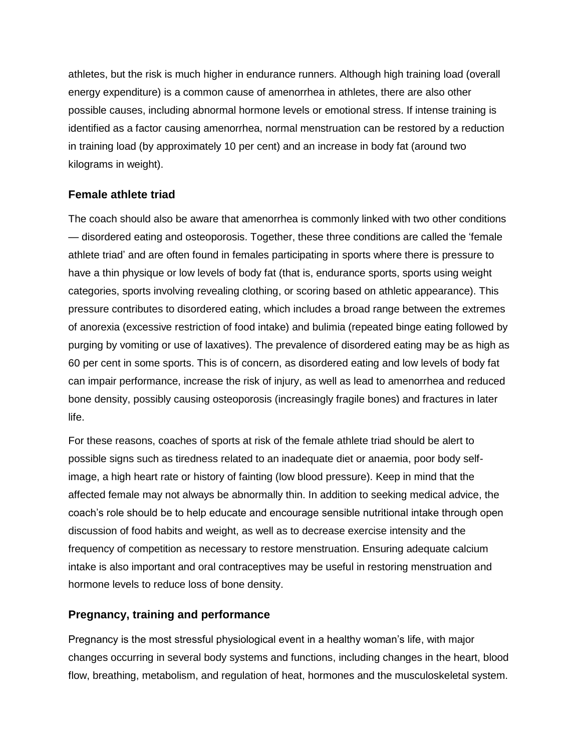athletes, but the risk is much higher in endurance runners. Although high training load (overall energy expenditure) is a common cause of amenorrhea in athletes, there are also other possible causes, including abnormal hormone levels or emotional stress. If intense training is identified as a factor causing amenorrhea, normal menstruation can be restored by a reduction in training load (by approximately 10 per cent) and an increase in body fat (around two kilograms in weight).

## **Female athlete triad**

The coach should also be aware that amenorrhea is commonly linked with two other conditions — disordered eating and osteoporosis. Together, these three conditions are called the 'female athlete triad' and are often found in females participating in sports where there is pressure to have a thin physique or low levels of body fat (that is, endurance sports, sports using weight categories, sports involving revealing clothing, or scoring based on athletic appearance). This pressure contributes to disordered eating, which includes a broad range between the extremes of anorexia (excessive restriction of food intake) and bulimia (repeated binge eating followed by purging by vomiting or use of laxatives). The prevalence of disordered eating may be as high as 60 per cent in some sports. This is of concern, as disordered eating and low levels of body fat can impair performance, increase the risk of injury, as well as lead to amenorrhea and reduced bone density, possibly causing osteoporosis (increasingly fragile bones) and fractures in later life.

For these reasons, coaches of sports at risk of the female athlete triad should be alert to possible signs such as tiredness related to an inadequate diet or anaemia, poor body selfimage, a high heart rate or history of fainting (low blood pressure). Keep in mind that the affected female may not always be abnormally thin. In addition to seeking medical advice, the coach's role should be to help educate and encourage sensible nutritional intake through open discussion of food habits and weight, as well as to decrease exercise intensity and the frequency of competition as necessary to restore menstruation. Ensuring adequate calcium intake is also important and oral contraceptives may be useful in restoring menstruation and hormone levels to reduce loss of bone density.

## **Pregnancy, training and performance**

Pregnancy is the most stressful physiological event in a healthy woman's life, with major changes occurring in several body systems and functions, including changes in the heart, blood flow, breathing, metabolism, and regulation of heat, hormones and the musculoskeletal system.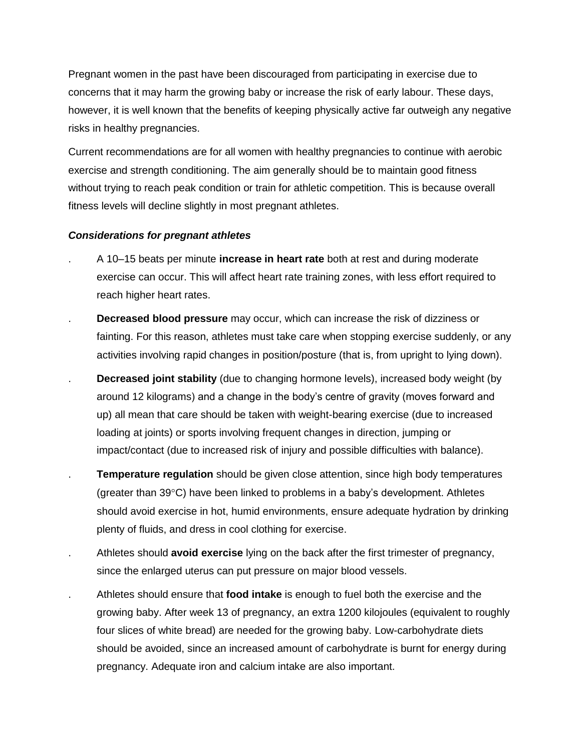Pregnant women in the past have been discouraged from participating in exercise due to concerns that it may harm the growing baby or increase the risk of early labour. These days, however, it is well known that the benefits of keeping physically active far outweigh any negative risks in healthy pregnancies.

Current recommendations are for all women with healthy pregnancies to continue with aerobic exercise and strength conditioning. The aim generally should be to maintain good fitness without trying to reach peak condition or train for athletic competition. This is because overall fitness levels will decline slightly in most pregnant athletes.

#### *Considerations for pregnant athletes*

- . A 10–15 beats per minute **increase in heart rate** both at rest and during moderate exercise can occur. This will affect heart rate training zones, with less effort required to reach higher heart rates.
- . **Decreased blood pressure** may occur, which can increase the risk of dizziness or fainting. For this reason, athletes must take care when stopping exercise suddenly, or any activities involving rapid changes in position/posture (that is, from upright to lying down).
- **Decreased joint stability** (due to changing hormone levels), increased body weight (by around 12 kilograms) and a change in the body's centre of gravity (moves forward and up) all mean that care should be taken with weight-bearing exercise (due to increased loading at joints) or sports involving frequent changes in direction, jumping or impact/contact (due to increased risk of injury and possible difficulties with balance).
- . **Temperature regulation** should be given close attention, since high body temperatures (greater than  $39^{\circ}$ C) have been linked to problems in a baby's development. Athletes should avoid exercise in hot, humid environments, ensure adequate hydration by drinking plenty of fluids, and dress in cool clothing for exercise.
- . Athletes should **avoid exercise** lying on the back after the first trimester of pregnancy, since the enlarged uterus can put pressure on major blood vessels.
- . Athletes should ensure that **food intake** is enough to fuel both the exercise and the growing baby. After week 13 of pregnancy, an extra 1200 kilojoules (equivalent to roughly four slices of white bread) are needed for the growing baby. Low-carbohydrate diets should be avoided, since an increased amount of carbohydrate is burnt for energy during pregnancy. Adequate iron and calcium intake are also important.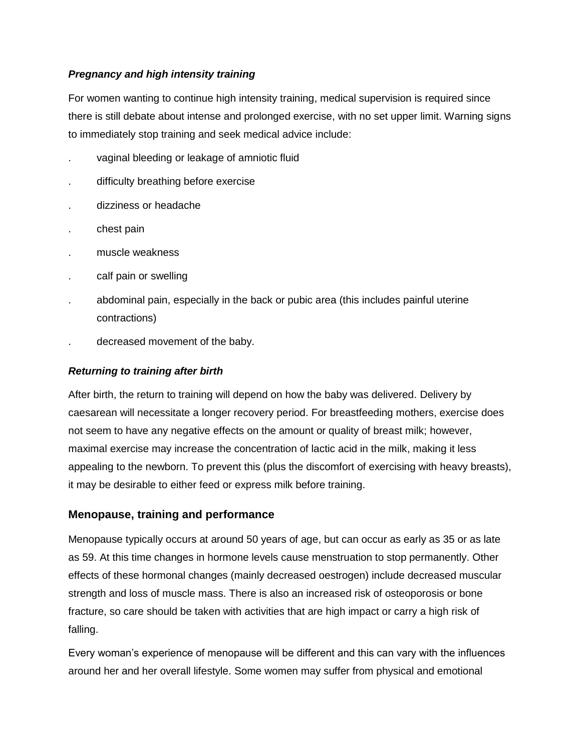## *Pregnancy and high intensity training*

For women wanting to continue high intensity training, medical supervision is required since there is still debate about intense and prolonged exercise, with no set upper limit. Warning signs to immediately stop training and seek medical advice include:

- . vaginal bleeding or leakage of amniotic fluid
- . difficulty breathing before exercise
- . dizziness or headache
- . chest pain
- . muscle weakness
- calf pain or swelling
- . abdominal pain, especially in the back or pubic area (this includes painful uterine contractions)
- . decreased movement of the baby.

### *Returning to training after birth*

After birth, the return to training will depend on how the baby was delivered. Delivery by caesarean will necessitate a longer recovery period. For breastfeeding mothers, exercise does not seem to have any negative effects on the amount or quality of breast milk; however, maximal exercise may increase the concentration of lactic acid in the milk, making it less appealing to the newborn. To prevent this (plus the discomfort of exercising with heavy breasts), it may be desirable to either feed or express milk before training.

## **Menopause, training and performance**

Menopause typically occurs at around 50 years of age, but can occur as early as 35 or as late as 59. At this time changes in hormone levels cause menstruation to stop permanently. Other effects of these hormonal changes (mainly decreased oestrogen) include decreased muscular strength and loss of muscle mass. There is also an increased risk of osteoporosis or bone fracture, so care should be taken with activities that are high impact or carry a high risk of falling.

Every woman's experience of menopause will be different and this can vary with the influences around her and her overall lifestyle. Some women may suffer from physical and emotional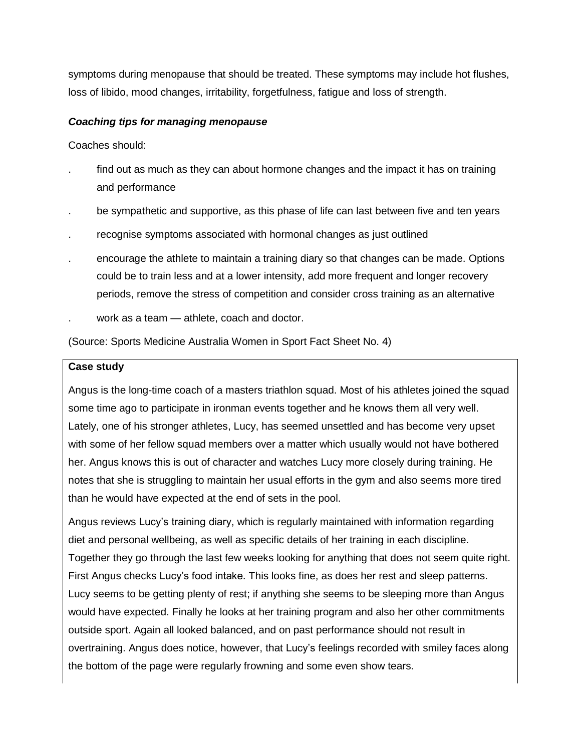symptoms during menopause that should be treated. These symptoms may include hot flushes, loss of libido, mood changes, irritability, forgetfulness, fatigue and loss of strength.

#### *Coaching tips for managing menopause*

Coaches should:

- find out as much as they can about hormone changes and the impact it has on training and performance
- . be sympathetic and supportive, as this phase of life can last between five and ten years
- . recognise symptoms associated with hormonal changes as just outlined
- . encourage the athlete to maintain a training diary so that changes can be made. Options could be to train less and at a lower intensity, add more frequent and longer recovery periods, remove the stress of competition and consider cross training as an alternative
- . work as a team athlete, coach and doctor.

(Source: Sports Medicine Australia Women in Sport Fact Sheet No. 4)

#### **Case study**

Angus is the long-time coach of a masters triathlon squad. Most of his athletes joined the squad some time ago to participate in ironman events together and he knows them all very well. Lately, one of his stronger athletes, Lucy, has seemed unsettled and has become very upset with some of her fellow squad members over a matter which usually would not have bothered her. Angus knows this is out of character and watches Lucy more closely during training. He notes that she is struggling to maintain her usual efforts in the gym and also seems more tired than he would have expected at the end of sets in the pool.

Angus reviews Lucy's training diary, which is regularly maintained with information regarding diet and personal wellbeing, as well as specific details of her training in each discipline. Together they go through the last few weeks looking for anything that does not seem quite right. First Angus checks Lucy's food intake. This looks fine, as does her rest and sleep patterns. Lucy seems to be getting plenty of rest; if anything she seems to be sleeping more than Angus would have expected. Finally he looks at her training program and also her other commitments outside sport. Again all looked balanced, and on past performance should not result in overtraining. Angus does notice, however, that Lucy's feelings recorded with smiley faces along the bottom of the page were regularly frowning and some even show tears.